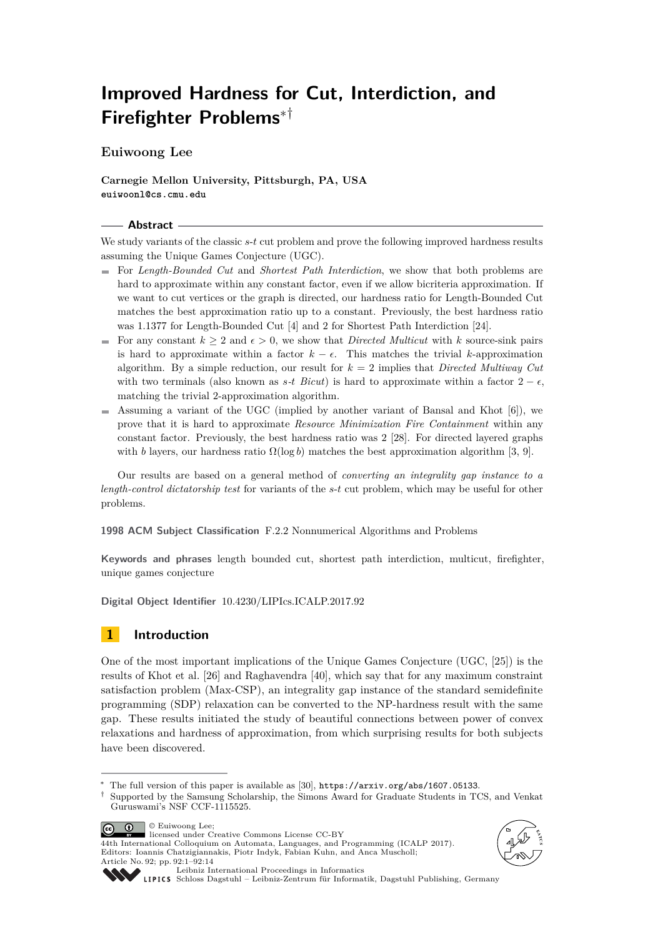# **Improved Hardness for Cut, Interdiction, and Firefighter Problems**∗†

**Euiwoong Lee**

**Carnegie Mellon University, Pittsburgh, PA, USA euiwoonl@cs.cmu.edu**

#### **Abstract**

We study variants of the classic *s*-*t* cut problem and prove the following improved hardness results assuming the Unique Games Conjecture (UGC).

- For *Length-Bounded Cut* and *Shortest Path Interdiction*, we show that both problems are hard to approximate within any constant factor, even if we allow bicriteria approximation. If we want to cut vertices or the graph is directed, our hardness ratio for Length-Bounded Cut matches the best approximation ratio up to a constant. Previously, the best hardness ratio was 1*.*1377 for Length-Bounded Cut [\[4\]](#page-11-0) and 2 for Shortest Path Interdiction [\[24\]](#page-12-0).
- For any constant  $k > 2$  and  $\epsilon > 0$ , we show that *Directed Multicut* with k source-sink pairs is hard to approximate within a factor  $k - \epsilon$ . This matches the trivial *k*-approximation algorithm. By a simple reduction, our result for *k* = 2 implies that *Directed Multiway Cut* with two terminals (also known as  $s$ *-t Bicut*) is hard to approximate within a factor  $2 - \epsilon$ , matching the trivial 2-approximation algorithm.
- $\blacksquare$  Assuming a variant of the UGC (implied by another variant of Bansal and Khot [\[6\]](#page-11-1)), we prove that it is hard to approximate *Resource Minimization Fire Containment* within any constant factor. Previously, the best hardness ratio was 2 [\[28\]](#page-13-0). For directed layered graphs with *b* layers, our hardness ratio  $\Omega(\log b)$  matches the best approximation algorithm [\[3,](#page-11-2) [9\]](#page-11-3).

Our results are based on a general method of *converting an integrality gap instance to a length-control dictatorship test* for variants of the *s*-*t* cut problem, which may be useful for other problems.

**1998 ACM Subject Classification** F.2.2 Nonnumerical Algorithms and Problems

**Keywords and phrases** length bounded cut, shortest path interdiction, multicut, firefighter, unique games conjecture

**Digital Object Identifier** [10.4230/LIPIcs.ICALP.2017.92](http://dx.doi.org/10.4230/LIPIcs.ICALP.2017.92)

## **1 Introduction**

One of the most important implications of the Unique Games Conjecture (UGC, [\[25\]](#page-12-1)) is the results of Khot et al. [\[26\]](#page-12-2) and Raghavendra [\[40\]](#page-13-1), which say that for any maximum constraint satisfaction problem (Max-CSP), an integrality gap instance of the standard semidefinite programming (SDP) relaxation can be converted to the NP-hardness result with the same gap. These results initiated the study of beautiful connections between power of convex relaxations and hardness of approximation, from which surprising results for both subjects have been discovered.

© Euiwoong Lee;  $\boxed{6}$   $\boxed{0}$ licensed under Creative Commons License CC-BY







[Leibniz International Proceedings in Informatics](http://www.dagstuhl.de/lipics/)

[Schloss Dagstuhl – Leibniz-Zentrum für Informatik, Dagstuhl Publishing, Germany](http://www.dagstuhl.de)

<sup>∗</sup> The full version of this paper is available as [\[30\]](#page-13-2), <https://arxiv.org/abs/1607.05133>.

<sup>†</sup> Supported by the Samsung Scholarship, the Simons Award for Graduate Students in TCS, and Venkat Guruswami's NSF CCF-1115525.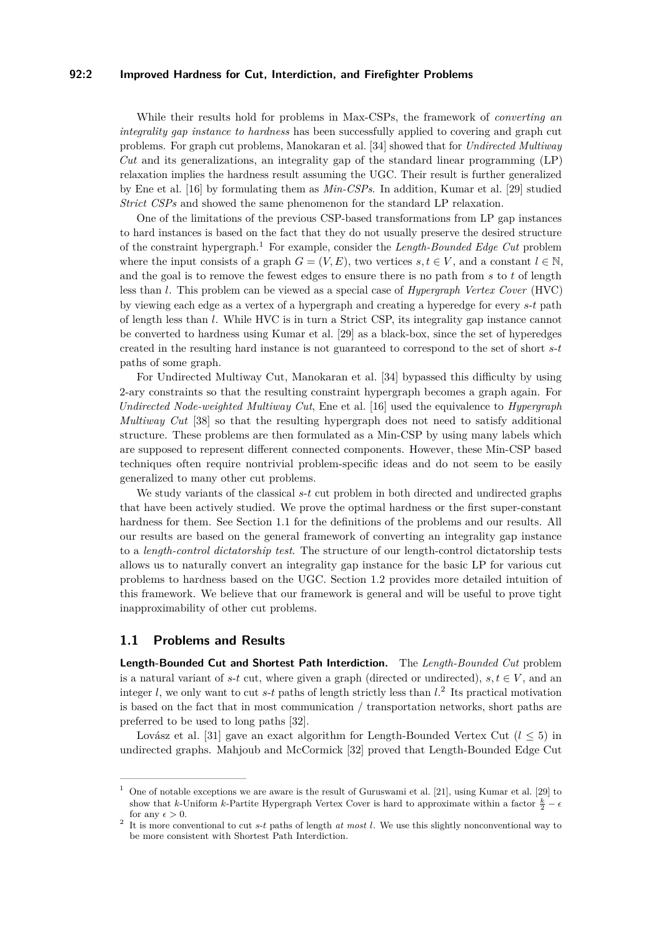#### **92:2 Improved Hardness for Cut, Interdiction, and Firefighter Problems**

While their results hold for problems in Max-CSPs, the framework of *converting an integrality gap instance to hardness* has been successfully applied to covering and graph cut problems. For graph cut problems, Manokaran et al. [\[34\]](#page-13-4) showed that for *Undirected Multiway Cut* and its generalizations, an integrality gap of the standard linear programming (LP) relaxation implies the hardness result assuming the UGC. Their result is further generalized by Ene et al. [\[16\]](#page-12-3) by formulating them as *Min-CSPs*. In addition, Kumar et al. [\[29\]](#page-13-5) studied *Strict CSPs* and showed the same phenomenon for the standard LP relaxation.

One of the limitations of the previous CSP-based transformations from LP gap instances to hard instances is based on the fact that they do not usually preserve the desired structure of the constraint hypergraph.[1](#page-1-0) For example, consider the *Length-Bounded Edge Cut* problem where the input consists of a graph  $G = (V, E)$ , two vertices  $s, t \in V$ , and a constant  $l \in \mathbb{N}$ , and the goal is to remove the fewest edges to ensure there is no path from *s* to *t* of length less than *l*. This problem can be viewed as a special case of *Hypergraph Vertex Cover* (HVC) by viewing each edge as a vertex of a hypergraph and creating a hyperedge for every *s*-*t* path of length less than *l*. While HVC is in turn a Strict CSP, its integrality gap instance cannot be converted to hardness using Kumar et al. [\[29\]](#page-13-5) as a black-box, since the set of hyperedges created in the resulting hard instance is not guaranteed to correspond to the set of short *s*-*t* paths of some graph.

For Undirected Multiway Cut, Manokaran et al. [\[34\]](#page-13-4) bypassed this difficulty by using 2-ary constraints so that the resulting constraint hypergraph becomes a graph again. For *Undirected Node-weighted Multiway Cut*, Ene et al. [\[16\]](#page-12-3) used the equivalence to *Hypergraph Multiway Cut* [\[38\]](#page-13-6) so that the resulting hypergraph does not need to satisfy additional structure. These problems are then formulated as a Min-CSP by using many labels which are supposed to represent different connected components. However, these Min-CSP based techniques often require nontrivial problem-specific ideas and do not seem to be easily generalized to many other cut problems.

We study variants of the classical *s*-*t* cut problem in both directed and undirected graphs that have been actively studied. We prove the optimal hardness or the first super-constant hardness for them. See Section [1.1](#page-1-1) for the definitions of the problems and our results. All our results are based on the general framework of converting an integrality gap instance to a *length-control dictatorship test*. The structure of our length-control dictatorship tests allows us to naturally convert an integrality gap instance for the basic LP for various cut problems to hardness based on the UGC. Section [1.2](#page-4-0) provides more detailed intuition of this framework. We believe that our framework is general and will be useful to prove tight inapproximability of other cut problems.

### <span id="page-1-1"></span>**1.1 Problems and Results**

**Length-Bounded Cut and Shortest Path Interdiction.** The *Length-Bounded Cut* problem is a natural variant of *s*-*t* cut, where given a graph (directed or undirected),  $s, t \in V$ , and an integer  $l$ , we only want to cut  $s$ - $t$  paths of length strictly less than  $l$ .<sup>[2](#page-1-2)</sup> Its practical motivation is based on the fact that in most communication / transportation networks, short paths are preferred to be used to long paths [\[32\]](#page-13-7).

Lovász et al. [\[31\]](#page-13-8) gave an exact algorithm for Length-Bounded Vertex Cut (*l* ≤ 5) in undirected graphs. Mahjoub and McCormick [\[32\]](#page-13-7) proved that Length-Bounded Edge Cut

<span id="page-1-0"></span><sup>&</sup>lt;sup>1</sup> One of notable exceptions we are aware is the result of Guruswami et al. [\[21\]](#page-12-4), using Kumar et al. [\[29\]](#page-13-5) to show that *k*-Uniform *k*-Partite Hypergraph Vertex Cover is hard to approximate within a factor  $\frac{k}{2} - \epsilon$ for any  $\epsilon > 0$ .

<span id="page-1-2"></span><sup>2</sup> It is more conventional to cut *s*-*t* paths of length *at most l*. We use this slightly nonconventional way to be more consistent with Shortest Path Interdiction.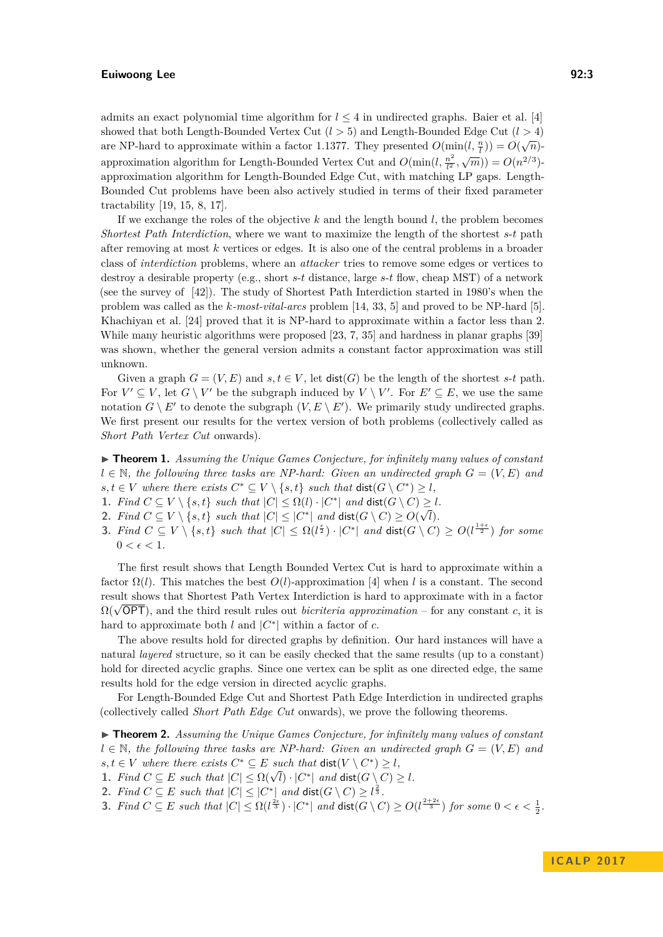admits an exact polynomial time algorithm for  $l \leq 4$  in undirected graphs. Baier et al. [\[4\]](#page-11-0) showed that both Length-Bounded Vertex Cut (*l >* 5) and Length-Bounded Edge Cut (*l >* 4) are NP-hard to approximate within a factor 1.1377. They presented  $O(\min(l, \frac{n}{l})) = O(\sqrt{n})$ approximation algorithm for Length-Bounded Vertex Cut and  $O(\min(l, \frac{n^2}{l^2}))$  $\frac{n^2}{l^2}, \sqrt{m}$ )) =  $O(n^{2/3})$ approximation algorithm for Length-Bounded Edge Cut, with matching LP gaps. Length-Bounded Cut problems have been also actively studied in terms of their fixed parameter tractability [\[19,](#page-12-5) [15,](#page-12-6) [8,](#page-11-4) [17\]](#page-12-7).

If we exchange the roles of the objective *k* and the length bound *l*, the problem becomes *Shortest Path Interdiction*, where we want to maximize the length of the shortest *s*-*t* path after removing at most *k* vertices or edges. It is also one of the central problems in a broader class of *interdiction* problems, where an *attacker* tries to remove some edges or vertices to destroy a desirable property (e.g., short *s*-*t* distance, large *s*-*t* flow, cheap MST) of a network (see the survey of [\[42\]](#page-13-9)). The study of Shortest Path Interdiction started in 1980's when the problem was called as the *k-most-vital-arcs* problem [\[14,](#page-12-8) [33,](#page-13-10) [5\]](#page-11-5) and proved to be NP-hard [\[5\]](#page-11-5). Khachiyan et al. [\[24\]](#page-12-0) proved that it is NP-hard to approximate within a factor less than 2. While many heuristic algorithms were proposed [\[23,](#page-12-9) [7,](#page-11-6) [35\]](#page-13-11) and hardness in planar graphs [\[39\]](#page-13-12) was shown, whether the general version admits a constant factor approximation was still unknown.

Given a graph  $G = (V, E)$  and  $s, t \in V$ , let  $dist(G)$  be the length of the shortest  $s$ -*t* path. For  $V' \subseteq V$ , let  $G \setminus V'$  be the subgraph induced by  $V \setminus V'$ . For  $E' \subseteq E$ , we use the same notation  $G \setminus E'$  to denote the subgraph  $(V, E \setminus E')$ . We primarily study undirected graphs. We first present our results for the vertex version of both problems (collectively called as *Short Path Vertex Cut* onwards).

▶ **Theorem 1.** *Assuming the Unique Games Conjecture, for infinitely many values of constant l* ∈ N, the following three tasks are NP-hard: Given an undirected graph  $G = (V, E)$  and  $s, t \in V$  where there exists  $C^* \subseteq V \setminus \{s, t\}$  such that  $\text{dist}(G \setminus C^*) \geq l$ ,

- 1. Find  $C \subseteq V \setminus \{s, t\}$  such that  $|C| \leq \Omega(l) \cdot |C^*|$  and  $\text{dist}(G \setminus C) \geq l$ .
- 2. *Find*  $C \subseteq V \setminus \{s, t\}$  *such that*  $|C| \leq |C^*|$  *and*  $\textsf{dist}(G \setminus C) \geq O(\sqrt{l}).$
- **3.** Find  $C \subseteq V \setminus \{s,t\}$  such that  $|C| \leq \Omega(\ell^{\frac{\epsilon}{2}}) \cdot |C^*|$  and  $\text{dist}(G \setminus C) \geq O(\ell^{\frac{1+\epsilon}{2}})$  for some  $0 < \epsilon < 1$ .

The first result shows that Length Bounded Vertex Cut is hard to approximate within a factor  $\Omega(l)$ . This matches the best  $O(l)$ -approximation [\[4\]](#page-11-0) when *l* is a constant. The second result shows that Shortest Path Vertex Interdiction is hard to approximate with in a factor result shows that shortest rath vertex interdiction is hard to approximate with in a lactor  $\Omega(\sqrt{OPT})$ , and the third result rules out *bicriteria approximation* – for any constant *c*, it is hard to approximate both *l* and  $|C^*|$  within a factor of *c*.

The above results hold for directed graphs by definition. Our hard instances will have a natural *layered* structure, so it can be easily checked that the same results (up to a constant) hold for directed acyclic graphs. Since one vertex can be split as one directed edge, the same results hold for the edge version in directed acyclic graphs.

For Length-Bounded Edge Cut and Shortest Path Edge Interdiction in undirected graphs (collectively called *Short Path Edge Cut* onwards), we prove the following theorems.

I **Theorem 2.** *Assuming the Unique Games Conjecture, for infinitely many values of constant l* ∈ N, the following three tasks are NP-hard: Given an undirected graph  $G = (V, E)$  and  $s, t \in V$  where there exists  $C^* \subseteq E$  such that  $dist(V \setminus C^*) \geq l$ ,

**1.** Find  $C \subseteq E$  such that  $|C| \leq \Omega(\sqrt{l}) \cdot |C^*|$  and  $\text{dist}(G \setminus C) \geq l$ .

2. *Find*  $C \subseteq E$  *such that*  $|C| \leq |C^*|$  *and*  $\textsf{dist}(G \setminus C) \geq l^{\frac{2}{3}}$ *.* 

**3.** *Find*  $C \subseteq E$  *such that*  $|C| \le \Omega(\ell^{\frac{2\epsilon}{3}}) \cdot |C^*|$  *and*  $\text{dist}(G \setminus C) \ge O(\ell^{\frac{2+2\epsilon}{3}})$  *for some*  $0 < \epsilon < \frac{1}{2}$ *.*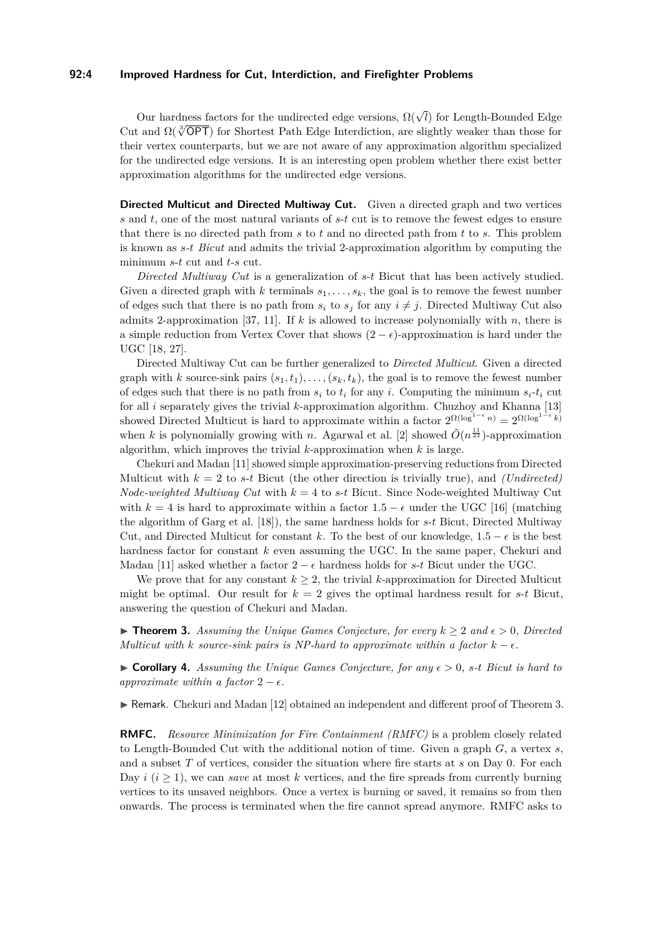#### **92:4 Improved Hardness for Cut, Interdiction, and Firefighter Problems**

Our hardness factors for the undirected edge versions,  $\Omega(\sqrt{l})$  for Length-Bounded Edge Cut and  $\Omega(\sqrt[3]{\text{OPT}})$  for Shortest Path Edge Interdiction, are slightly weaker than those for their vertex counterparts, but we are not aware of any approximation algorithm specialized for the undirected edge versions. It is an interesting open problem whether there exist better approximation algorithms for the undirected edge versions.

**Directed Multicut and Directed Multiway Cut.** Given a directed graph and two vertices *s* and *t*, one of the most natural variants of *s*-*t* cut is to remove the fewest edges to ensure that there is no directed path from *s* to *t* and no directed path from *t* to *s*. This problem is known as *s-t Bicut* and admits the trivial 2-approximation algorithm by computing the minimum *s*-*t* cut and *t*-*s* cut.

*Directed Multiway Cut* is a generalization of *s*-*t* Bicut that has been actively studied. Given a directed graph with  $k$  terminals  $s_1, \ldots, s_k$ , the goal is to remove the fewest number of edges such that there is no path from  $s_i$  to  $s_j$  for any  $i \neq j$ . Directed Multiway Cut also admits 2-approximation [\[37,](#page-13-13) [11\]](#page-12-10). If *k* is allowed to increase polynomially with *n*, there is a simple reduction from Vertex Cover that shows  $(2 - \epsilon)$ -approximation is hard under the UGC [\[18,](#page-12-11) [27\]](#page-12-12).

Directed Multiway Cut can be further generalized to *Directed Multicut*. Given a directed graph with *k* source-sink pairs  $(s_1, t_1), \ldots, (s_k, t_k)$ , the goal is to remove the fewest number of edges such that there is no path from  $s_i$  to  $t_i$  for any *i*. Computing the minimum  $s_i$ - $t_i$  cut for all *i* separately gives the trivial *k*-approximation algorithm. Chuzhoy and Khanna [\[13\]](#page-12-13) showed Directed Multicut is hard to approximate within a factor  $2^{\Omega(\log^{1-\epsilon} n)} = 2^{\Omega(\log^{1-\epsilon} k)}$ when *k* is polynomially growing with *n*. Agarwal et al. [\[2\]](#page-11-7) showed  $\tilde{O}(n^{\frac{11}{23}})$ -approximation algorithm, which improves the trivial *k*-approximation when *k* is large.

Chekuri and Madan [\[11\]](#page-12-10) showed simple approximation-preserving reductions from Directed Multicut with  $k = 2$  to *s*-*t* Bicut (the other direction is trivially true), and *(Undirected) Node-weighted Multiway Cut* with *k* = 4 to *s*-*t* Bicut. Since Node-weighted Multiway Cut with  $k = 4$  is hard to approximate within a factor  $1.5 - \epsilon$  under the UGC [\[16\]](#page-12-3) (matching the algorithm of Garg et al. [\[18\]](#page-12-11)), the same hardness holds for *s*-*t* Bicut, Directed Multiway Cut, and Directed Multicut for constant *k*. To the best of our knowledge,  $1.5 - \epsilon$  is the best hardness factor for constant *k* even assuming the UGC. In the same paper, Chekuri and Madan [\[11\]](#page-12-10) asked whether a factor  $2 - \epsilon$  hardness holds for *s*-*t* Bicut under the UGC.

We prove that for any constant  $k \geq 2$ , the trivial *k*-approximation for Directed Multicut might be optimal. Our result for  $k = 2$  gives the optimal hardness result for  $s$ - $t$  Bicut, answering the question of Chekuri and Madan.

<span id="page-3-0"></span>▶ **Theorem 3.** Assuming the Unique Games Conjecture, for every  $k \geq 2$  and  $\epsilon > 0$ , Directed *Multicut with k source-sink* pairs is *NP-hard to approximate within a factor*  $k - \epsilon$ .

 $\triangleright$  **Corollary 4.** Assuming the Unique Games Conjecture, for any  $\epsilon > 0$ , s-t Bicut is hard to *approximate within a factor*  $2 - \epsilon$ .

 $\triangleright$  Remark. Chekuri and Madan [\[12\]](#page-12-14) obtained an independent and different proof of Theorem [3.](#page-3-0)

**RMFC.** *Resource Minimization for Fire Containment (RMFC)* is a problem closely related to Length-Bounded Cut with the additional notion of time. Given a graph *G*, a vertex *s*, and a subset *T* of vertices, consider the situation where fire starts at *s* on Day 0. For each Day  $i$  ( $i > 1$ ), we can *save* at most  $k$  vertices, and the fire spreads from currently burning vertices to its unsaved neighbors. Once a vertex is burning or saved, it remains so from then onwards. The process is terminated when the fire cannot spread anymore. RMFC asks to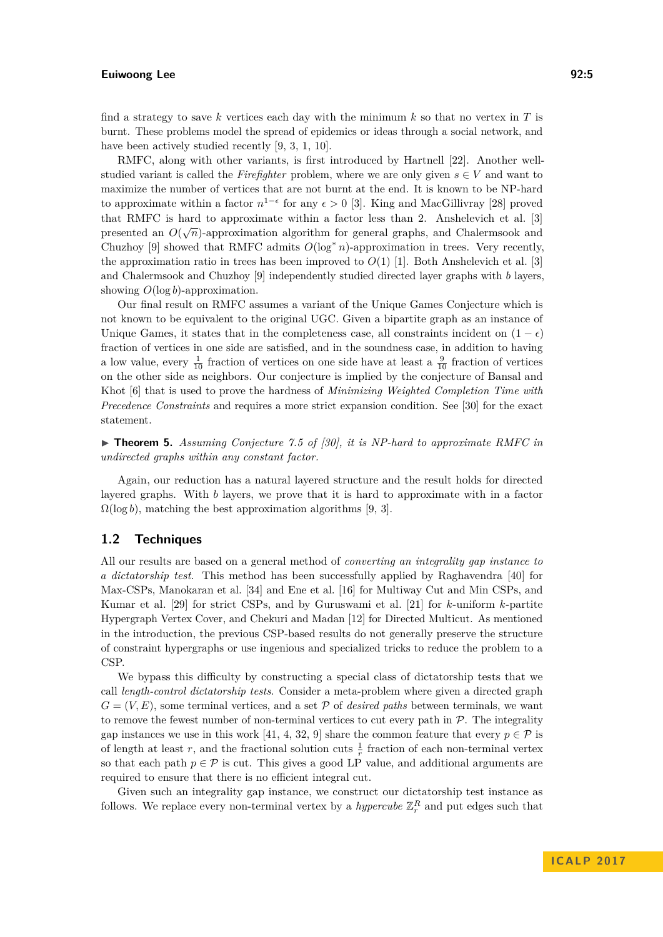find a strategy to save *k* vertices each day with the minimum *k* so that no vertex in *T* is burnt. These problems model the spread of epidemics or ideas through a social network, and have been actively studied recently [\[9,](#page-11-3) [3,](#page-11-2) [1,](#page-11-8) [10\]](#page-12-15).

RMFC, along with other variants, is first introduced by Hartnell [\[22\]](#page-12-16). Another wellstudied variant is called the *Firefighter* problem, where we are only given  $s \in V$  and want to maximize the number of vertices that are not burnt at the end. It is known to be NP-hard to approximate within a factor  $n^{1-\epsilon}$  for any  $\epsilon > 0$  [\[3\]](#page-11-2). King and MacGillivray [\[28\]](#page-13-0) proved that RMFC is hard to approximate within a factor less than 2. Anshelevich et al. [\[3\]](#page-11-2) presented an  $O(\sqrt{n})$ -approximation algorithm for general graphs, and Chalermsook and Chuzhoy [\[9\]](#page-11-3) showed that RMFC admits  $O(\log^* n)$ -approximation in trees. Very recently, the approximation ratio in trees has been improved to  $O(1)$  [\[1\]](#page-11-8). Both Anshelevich et al. [\[3\]](#page-11-2) and Chalermsook and Chuzhoy [\[9\]](#page-11-3) independently studied directed layer graphs with *b* layers, showing *O*(log *b*)-approximation.

Our final result on RMFC assumes a variant of the Unique Games Conjecture which is not known to be equivalent to the original UGC. Given a bipartite graph as an instance of Unique Games, it states that in the completeness case, all constraints incident on  $(1 - \epsilon)$ fraction of vertices in one side are satisfied, and in the soundness case, in addition to having a low value, every  $\frac{1}{10}$  fraction of vertices on one side have at least a  $\frac{9}{10}$  fraction of vertices on the other side as neighbors. Our conjecture is implied by the conjecture of Bansal and Khot [\[6\]](#page-11-1) that is used to prove the hardness of *Minimizing Weighted Completion Time with Precedence Constraints* and requires a more strict expansion condition. See [\[30\]](#page-13-2) for the exact statement.

▶ **Theorem 5.** *Assuming Conjecture 7.5 of [\[30\]](#page-13-2)*, *it is NP-hard to approximate RMFC in undirected graphs within any constant factor.*

Again, our reduction has a natural layered structure and the result holds for directed layered graphs. With *b* layers, we prove that it is hard to approximate with in a factor  $\Omega(\log b)$ , matching the best approximation algorithms [\[9,](#page-11-3) [3\]](#page-11-2).

#### <span id="page-4-0"></span>**1.2 Techniques**

All our results are based on a general method of *converting an integrality gap instance to a dictatorship test*. This method has been successfully applied by Raghavendra [\[40\]](#page-13-1) for Max-CSPs, Manokaran et al. [\[34\]](#page-13-4) and Ene et al. [\[16\]](#page-12-3) for Multiway Cut and Min CSPs, and Kumar et al. [\[29\]](#page-13-5) for strict CSPs, and by Guruswami et al. [\[21\]](#page-12-4) for *k*-uniform *k*-partite Hypergraph Vertex Cover, and Chekuri and Madan [\[12\]](#page-12-14) for Directed Multicut. As mentioned in the introduction, the previous CSP-based results do not generally preserve the structure of constraint hypergraphs or use ingenious and specialized tricks to reduce the problem to a CSP.

We bypass this difficulty by constructing a special class of dictatorship tests that we call *length-control dictatorship tests*. Consider a meta-problem where given a directed graph  $G = (V, E)$ , some terminal vertices, and a set P of *desired paths* between terminals, we want to remove the fewest number of non-terminal vertices to cut every path in  $P$ . The integrality gap instances we use in this work [\[41,](#page-13-14) [4,](#page-11-0) [32,](#page-13-7) [9\]](#page-11-3) share the common feature that every  $p \in \mathcal{P}$  is of length at least *r*, and the fractional solution cuts  $\frac{1}{r}$  fraction of each non-terminal vertex so that each path  $p \in \mathcal{P}$  is cut. This gives a good LP value, and additional arguments are required to ensure that there is no efficient integral cut.

Given such an integrality gap instance, we construct our dictatorship test instance as follows. We replace every non-terminal vertex by a *hypercube*  $\mathbb{Z}_r^R$  and put edges such that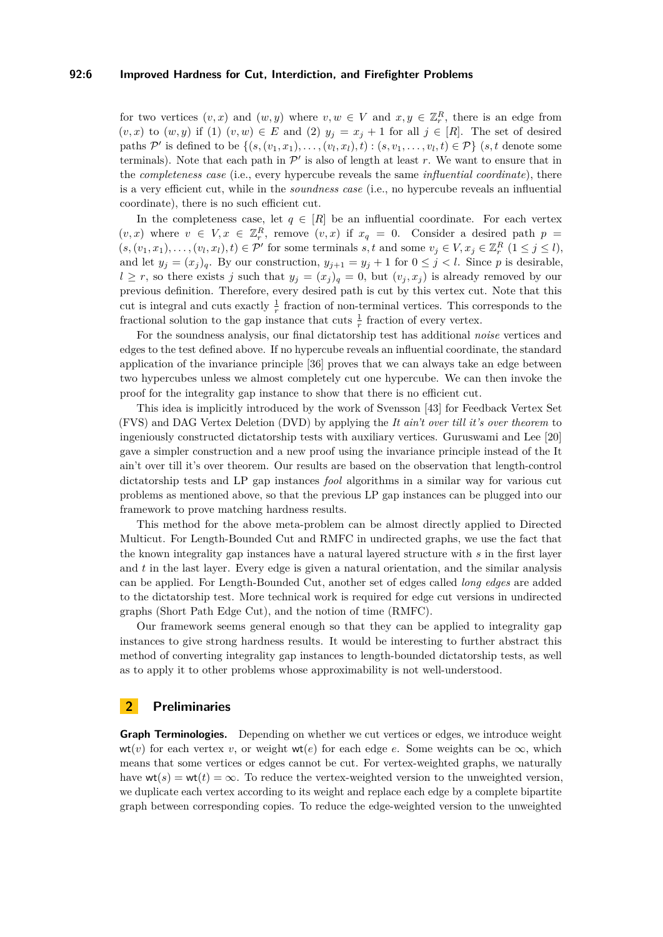#### **92:6 Improved Hardness for Cut, Interdiction, and Firefighter Problems**

for two vertices  $(v, x)$  and  $(w, y)$  where  $v, w \in V$  and  $x, y \in \mathbb{Z}_r^R$ , there is an edge from  $(v, x)$  to  $(w, y)$  if (1)  $(v, w) \in E$  and (2)  $y_j = x_j + 1$  for all  $j \in [R]$ . The set of desired paths  $\mathcal{P}'$  is defined to be  $\{(s,(v_1,x_1),\ldots,(v_l,x_l),t) : (s,v_1,\ldots,v_l,t) \in \mathcal{P}\}\$  (*s,t* denote some terminals). Note that each path in  $\mathcal{P}'$  is also of length at least  $r$ . We want to ensure that in the *completeness case* (i.e., every hypercube reveals the same *influential coordinate*), there is a very efficient cut, while in the *soundness case* (i.e., no hypercube reveals an influential coordinate), there is no such efficient cut.

In the completeness case, let  $q \in [R]$  be an influential coordinate. For each vertex  $(v, x)$  where  $v \in V, x \in \mathbb{Z}_r^R$ , remove  $(v, x)$  if  $x_q = 0$ . Consider a desired path  $p =$  $(s, (v_1, x_1), \ldots, (v_l, x_l), t) \in \mathcal{P}'$  for some terminals  $s, t$  and some  $v_j \in V, x_j \in \mathbb{Z}_r^R$   $(1 \leq j \leq l)$ , and let  $y_j = (x_j)_q$ . By our construction,  $y_{j+1} = y_j + 1$  for  $0 \le j < l$ . Since *p* is desirable,  $l \geq r$ , so there exists *j* such that  $y_j = (x_j)_q = 0$ , but  $(v_j, x_j)$  is already removed by our previous definition. Therefore, every desired path is cut by this vertex cut. Note that this cut is integral and cuts exactly  $\frac{1}{r}$  fraction of non-terminal vertices. This corresponds to the fractional solution to the gap instance that cuts  $\frac{1}{r}$  fraction of every vertex.

For the soundness analysis, our final dictatorship test has additional *noise* vertices and edges to the test defined above. If no hypercube reveals an influential coordinate, the standard application of the invariance principle [\[36\]](#page-13-15) proves that we can always take an edge between two hypercubes unless we almost completely cut one hypercube. We can then invoke the proof for the integrality gap instance to show that there is no efficient cut.

This idea is implicitly introduced by the work of Svensson [\[43\]](#page-13-16) for Feedback Vertex Set (FVS) and DAG Vertex Deletion (DVD) by applying the *It ain't over till it's over theorem* to ingeniously constructed dictatorship tests with auxiliary vertices. Guruswami and Lee [\[20\]](#page-12-17) gave a simpler construction and a new proof using the invariance principle instead of the It ain't over till it's over theorem. Our results are based on the observation that length-control dictatorship tests and LP gap instances *fool* algorithms in a similar way for various cut problems as mentioned above, so that the previous LP gap instances can be plugged into our framework to prove matching hardness results.

This method for the above meta-problem can be almost directly applied to Directed Multicut. For Length-Bounded Cut and RMFC in undirected graphs, we use the fact that the known integrality gap instances have a natural layered structure with *s* in the first layer and *t* in the last layer. Every edge is given a natural orientation, and the similar analysis can be applied. For Length-Bounded Cut, another set of edges called *long edges* are added to the dictatorship test. More technical work is required for edge cut versions in undirected graphs (Short Path Edge Cut), and the notion of time (RMFC).

Our framework seems general enough so that they can be applied to integrality gap instances to give strong hardness results. It would be interesting to further abstract this method of converting integrality gap instances to length-bounded dictatorship tests, as well as to apply it to other problems whose approximability is not well-understood.

## **2 Preliminaries**

**Graph Terminologies.** Depending on whether we cut vertices or edges, we introduce weight wt(*v*) for each vertex *v*, or weight wt(*e*) for each edge *e*. Some weights can be  $\infty$ , which means that some vertices or edges cannot be cut. For vertex-weighted graphs, we naturally have  $\text{wt}(s) = \text{wt}(t) = \infty$ . To reduce the vertex-weighted version to the unweighted version, we duplicate each vertex according to its weight and replace each edge by a complete bipartite graph between corresponding copies. To reduce the edge-weighted version to the unweighted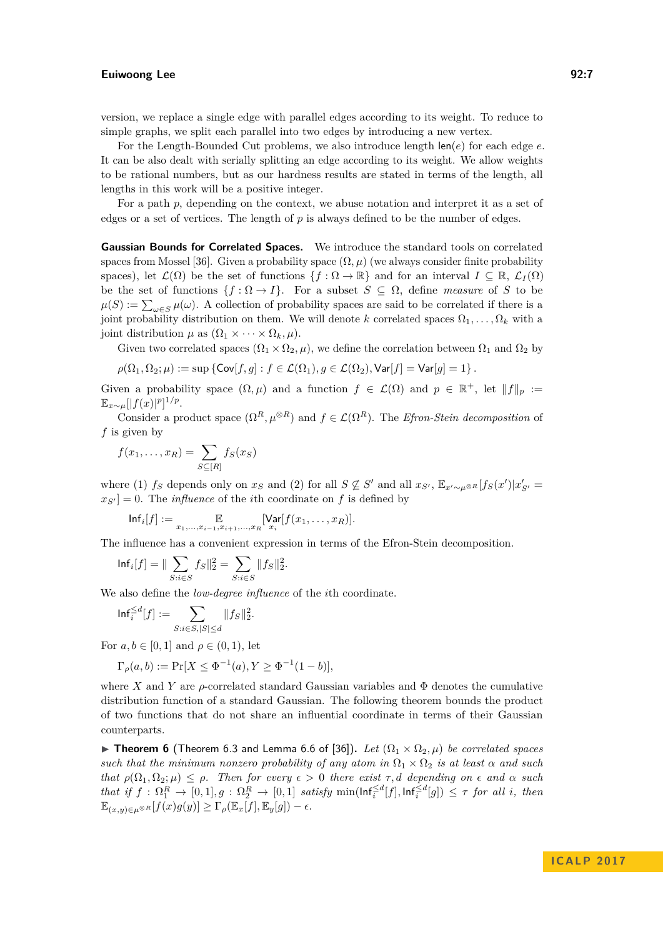version, we replace a single edge with parallel edges according to its weight. To reduce to simple graphs, we split each parallel into two edges by introducing a new vertex.

For the Length-Bounded Cut problems, we also introduce length len(*e*) for each edge *e*. It can be also dealt with serially splitting an edge according to its weight. We allow weights to be rational numbers, but as our hardness results are stated in terms of the length, all lengths in this work will be a positive integer.

For a path p, depending on the context, we abuse notation and interpret it as a set of edges or a set of vertices. The length of *p* is always defined to be the number of edges.

**Gaussian Bounds for Correlated Spaces.** We introduce the standard tools on correlated spaces from Mossel [\[36\]](#page-13-15). Given a probability space  $(\Omega, \mu)$  (we always consider finite probability spaces), let  $\mathcal{L}(\Omega)$  be the set of functions  $\{f : \Omega \to \mathbb{R}\}\$  and for an interval  $I \subseteq \mathbb{R}, \mathcal{L}_I(\Omega)$ be the set of functions  $\{f : \Omega \to I\}$ . For a subset  $S \subseteq \Omega$ , define *measure* of *S* to be  $\mu(S) := \sum_{\omega \in S} \mu(\omega)$ . A collection of probability spaces are said to be correlated if there is a joint probability distribution on them. We will denote *k* correlated spaces  $\Omega_1, \ldots, \Omega_k$  with a joint distribution  $\mu$  as  $(\Omega_1 \times \cdots \times \Omega_k, \mu)$ .

Given two correlated spaces  $(\Omega_1 \times \Omega_2, \mu)$ , we define the correlation between  $\Omega_1$  and  $\Omega_2$  by

$$
\rho(\Omega_1,\Omega_2;\mu):=\sup\left\{{\sf Cov}[f,g]:f\in\mathcal{L}(\Omega_1),g\in\mathcal{L}(\Omega_2),{\sf Var}[f]={\sf Var}[g]=1\right\}.
$$

Given a probability space  $(\Omega, \mu)$  and a function  $f \in \mathcal{L}(\Omega)$  and  $p \in \mathbb{R}^+$ , let  $||f||_p :=$  $\mathbb{E}_{x \sim \mu} [|f(x)|^p]^{1/p}.$ 

Consider a product space  $(\Omega^R, \mu^{\otimes R})$  and  $f \in \mathcal{L}(\Omega^R)$ . The *Efron-Stein decomposition* of *f* is given by

$$
f(x_1,\ldots,x_R)=\sum_{S\subseteq[R]}f_S(x_S)
$$

where (1)  $f_S$  depends only on  $x_S$  and (2) for all  $S \not\subseteq S'$  and all  $x_{S'}$ ,  $\mathbb{E}_{x' \sim \mu^{\otimes R}}[f_S(x')|x'_{S'}]$  $x_{S'}$  = 0. The *influence* of the *i*th coordinate on *f* is defined by

$$
\mathsf{Inf}_i[f] := \mathop{\mathbb{E}}_{x_1,\ldots,x_{i-1},x_{i+1},\ldots,x_R}[\mathsf{Var}[f(x_1,\ldots,x_R)].
$$

The influence has a convenient expression in terms of the Efron-Stein decomposition.

*.*

$$
\mathsf{Inf}_i[f] = \| \sum_{S: i \in S} f_S \|_2^2 = \sum_{S: i \in S} \| f_S \|_2^2
$$

We also define the *low-degree influence* of the *i*th coordinate.

$$
\mathrm{Inf}_{i}^{\le d}[f] := \sum_{S: i \in S, |S| \le d} \| f_S \|_2^2.
$$

For  $a, b \in [0, 1]$  and  $\rho \in (0, 1)$ , let

$$
\Gamma_{\rho}(a,b) := \Pr[X \le \Phi^{-1}(a), Y \ge \Phi^{-1}(1-b)],
$$

where *X* and *Y* are  $\rho$ -correlated standard Gaussian variables and  $\Phi$  denotes the cumulative distribution function of a standard Gaussian. The following theorem bounds the product of two functions that do not share an influential coordinate in terms of their Gaussian counterparts.

<span id="page-6-0"></span>**► Theorem 6** (Theorem 6.3 and Lemma 6.6 of [\[36\]](#page-13-15)). Let  $(\Omega_1 \times \Omega_2, \mu)$  be correlated spaces *such that the minimum nonzero probability of any atom in*  $\Omega_1 \times \Omega_2$  *is at least*  $\alpha$  *and such that*  $\rho(\Omega_1, \Omega_2; \mu) \leq \rho$ *. Then for every*  $\epsilon > 0$  *there exist*  $\tau$ *, d depending on*  $\epsilon$  *and*  $\alpha$  *such* that if  $f: \Omega_1^R \to [0,1], g: \Omega_2^R \to [0,1]$  satisfy  $\min(\text{Inf}_i^{\leq d}[f], \text{Inf}_i^{\leq d}[g]) \leq \tau$  for all i, then  $\mathbb{E}_{(x,y)\in\mu^{\otimes R}}[f(x)g(y)] \geq \Gamma_{\rho}(\mathbb{E}_x[f], \mathbb{E}_y[g]) - \epsilon.$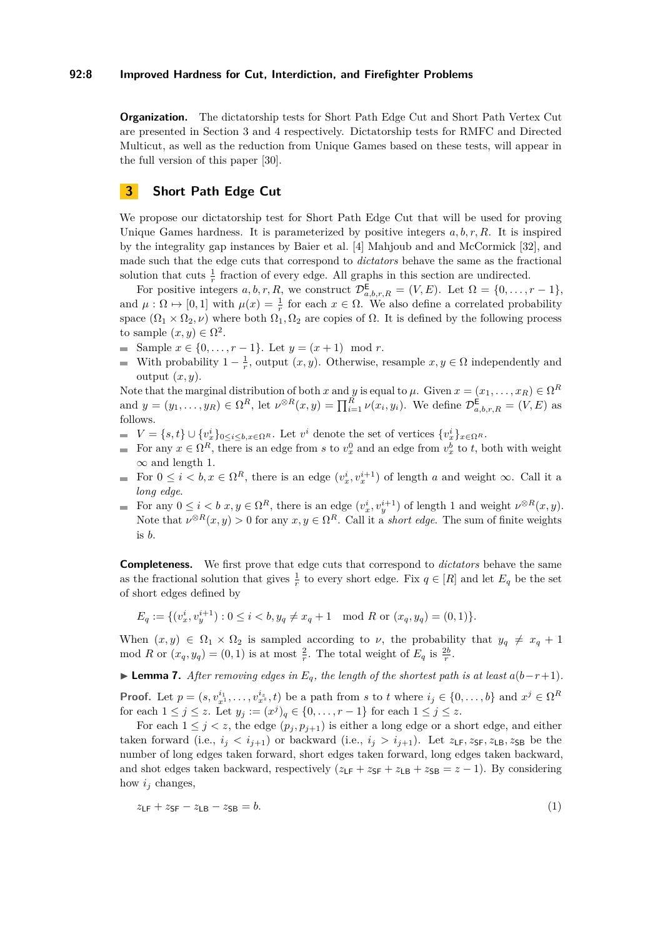#### **92:8 Improved Hardness for Cut, Interdiction, and Firefighter Problems**

**Organization.** The dictatorship tests for Short Path Edge Cut and Short Path Vertex Cut are presented in Section [3](#page-7-0) and [4](#page-9-0) respectively. Dictatorship tests for RMFC and Directed Multicut, as well as the reduction from Unique Games based on these tests, will appear in the full version of this paper [\[30\]](#page-13-2).

## <span id="page-7-0"></span>**3 Short Path Edge Cut**

We propose our dictatorship test for Short Path Edge Cut that will be used for proving Unique Games hardness. It is parameterized by positive integers *a, b, r, R*. It is inspired by the integrality gap instances by Baier et al. [\[4\]](#page-11-0) Mahjoub and and McCormick [\[32\]](#page-13-7), and made such that the edge cuts that correspond to *dictators* behave the same as the fractional solution that cuts  $\frac{1}{r}$  fraction of every edge. All graphs in this section are undirected.

For positive integers  $a, b, r, R$ , we construct  $\mathcal{D}_{a,b,r,R}^{\mathsf{E}} = (V, E)$ . Let  $\Omega = \{0, \ldots, r-1\}$ , and  $\mu : \Omega \mapsto [0,1]$  with  $\mu(x) = \frac{1}{r}$  for each  $x \in \Omega$ . We also define a correlated probability space  $(\Omega_1 \times \Omega_2, \nu)$  where both  $\Omega_1, \Omega_2$  are copies of  $\Omega$ . It is defined by the following process to sample  $(x, y) \in \Omega^2$ .

- Sample  $x \in \{0, ..., r-1\}$ . Let  $y = (x+1) \mod r$ .
- With probability  $1 \frac{1}{r}$ , output  $(x, y)$ . Otherwise, resample  $x, y \in \Omega$  independently and output  $(x, y)$ .

Note that the marginal distribution of both *x* and *y* is equal to  $\mu$ . Given  $x = (x_1, \ldots, x_R) \in \Omega^R$ and  $y = (y_1, \ldots, y_R) \in \Omega^R$ , let  $\nu^{\otimes R}(x, y) = \prod_{i=1}^R \nu(x_i, y_i)$ . We define  $\mathcal{D}_{a, b, r, R}^{\mathsf{E}} = (V, E)$  as follows.

- $V = \{s, t\} \cup \{v_x^i\}_{0 \le i \le b, x \in \Omega^R}$ . Let  $v^i$  denote the set of vertices  $\{v_x^i\}_{x \in \Omega^R}$ .
- For any  $x \in \Omega^R$ , there is an edge from *s* to  $v_x^0$  and an edge from  $v_x^b$  to *t*, both with weight  $\infty$  and length 1.
- For  $0 \leq i < b, x \in \Omega^R$ , there is an edge  $(v_x^i, v_x^{i+1})$  of length *a* and weight  $\infty$ . Call it a *long edge*.
- For any  $0 \leq i < b$   $x, y \in \Omega^R$ , there is an edge  $(v_x^i, v_y^{i+1})$  of length 1 and weight  $\nu^{\otimes R}(x, y)$ . Note that  $\nu^{\otimes R}(x, y) > 0$  for any  $x, y \in \Omega^R$ . Call it a *short edge*. The sum of finite weights is *b*.

**Completeness.** We first prove that edge cuts that correspond to *dictators* behave the same as the fractional solution that gives  $\frac{1}{r}$  to every short edge. Fix  $q \in [R]$  and let  $E_q$  be the set of short edges defined by

$$
E_q := \{ (v_x^i, v_y^{i+1}) : 0 \le i < b, y_q \ne x_q + 1 \mod R \text{ or } (x_q, y_q) = (0, 1) \}.
$$

When  $(x, y) \in \Omega_1 \times \Omega_2$  is sampled according to *ν*, the probability that  $y_q \neq x_q + 1$ mod *R* or  $(x_q, y_q) = (0, 1)$  is at most  $\frac{2}{r}$ . The total weight of  $E_q$  is  $\frac{2b}{r}$ .

**► Lemma 7.** After removing edges in  $E_q$ , the length of the shortest path is at least  $a(b-r+1)$ .

**Proof.** Let  $p = (s, v_{x^1}^{i_1}, \ldots, v_{x^z}^{i_z}, t)$  be a path from s to t where  $i_j \in \{0, \ldots, b\}$  and  $x^j \in \Omega^R$ for each  $1 \le j \le z$ . Let  $y_j := (x^j)_q \in \{0, ..., r-1\}$  for each  $1 \le j \le z$ .

For each  $1 \leq j \leq z$ , the edge  $(p_j, p_{j+1})$  is either a long edge or a short edge, and either taken forward (i.e.,  $i_j < i_{j+1}$ ) or backward (i.e.,  $i_j > i_{j+1}$ ). Let  $z_{\text{LF}}, z_{\text{SF}}, z_{\text{LB}}, z_{\text{SB}}$  be the number of long edges taken forward, short edges taken forward, long edges taken backward, and shot edges taken backward, respectively  $(z_{LF} + z_{SF} + z_{LB} + z_{SB} = z - 1)$ . By considering how *i<sup>j</sup>* changes,

<span id="page-7-1"></span>
$$
z_{\text{LF}} + z_{\text{SF}} - z_{\text{LB}} - z_{\text{SB}} = b. \tag{1}
$$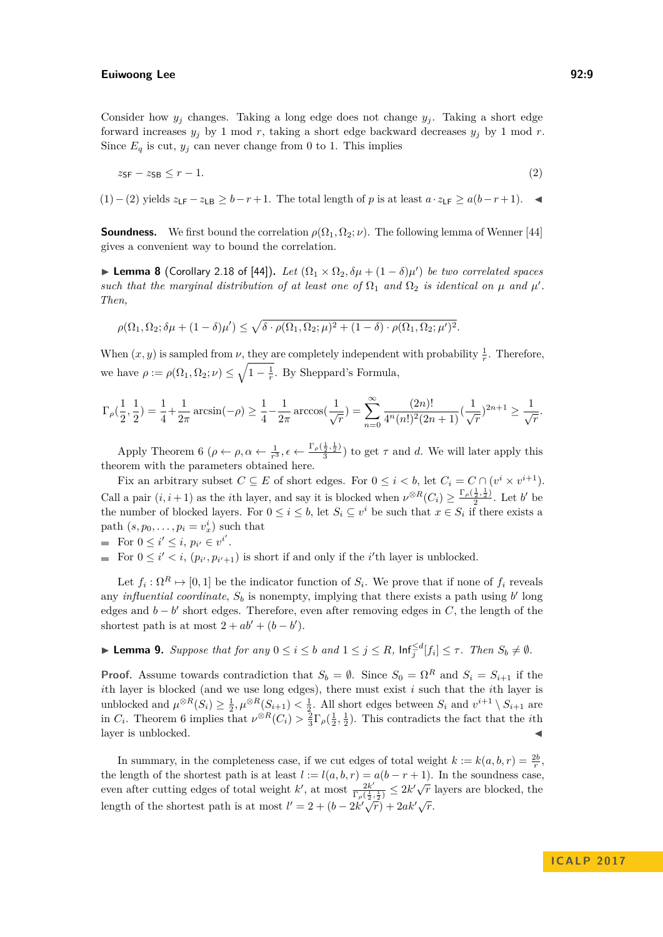Consider how  $y_i$  changes. Taking a long edge does not change  $y_i$ . Taking a short edge forward increases  $y_j$  by 1 mod *r*, taking a short edge backward decreases  $y_j$  by 1 mod *r*. Since  $E_q$  is cut,  $y_j$  can never change from 0 to 1. This implies

<span id="page-8-0"></span>
$$
z_{\text{SF}} - z_{\text{SB}} \le r - 1. \tag{2}
$$

[\(1\)](#page-7-1)−[\(2\)](#page-8-0) yields  $z_{\text{LF}} - z_{\text{LB}} \geq b - r + 1$ . The total length of *p* is at least  $a \cdot z_{\text{LF}} \geq a(b - r + 1)$ .  $\blacktriangleleft$ 

**Soundness.** We first bound the correlation  $\rho(\Omega_1, \Omega_2; \nu)$ . The following lemma of Wenner [\[44\]](#page-13-17) gives a convenient way to bound the correlation.

 $▶$  **Lemma 8** (Corollary 2.18 of [\[44\]](#page-13-17)). *Let*  $(Ω_1 × Ω_2, δμ + (1 − δ)μ')$  *be two correlated spaces such that the marginal distribution of at least one of*  $\Omega_1$  *and*  $\Omega_2$  *is identical on*  $\mu$  *and*  $\mu'$ *. Then,*

$$
\rho(\Omega_1, \Omega_2; \delta\mu + (1-\delta)\mu') \leq \sqrt{\delta \cdot \rho(\Omega_1, \Omega_2; \mu)^2 + (1-\delta) \cdot \rho(\Omega_1, \Omega_2; \mu')^2}.
$$

When  $(x, y)$  is sampled from  $\nu$ , they are completely independent with probability  $\frac{1}{r}$ . Therefore, we have  $\rho := \rho(\Omega_1, \Omega_2; \nu) \leq \sqrt{1 - \frac{1}{r}}$ . By Sheppard's Formula,

$$
\Gamma_\rho(\frac{1}{2},\frac{1}{2})=\frac{1}{4}+\frac{1}{2\pi}\arcsin(-\rho)\geq \frac{1}{4}-\frac{1}{2\pi}\arccos(\frac{1}{\sqrt{r}})=\sum_{n=0}^\infty \frac{(2n)!}{4^n(n!)^2(2n+1)}(\frac{1}{\sqrt{r}})^{2n+1}\geq \frac{1}{\sqrt{r}}.
$$

Apply Theorem [6](#page-6-0) ( $\rho \leftarrow \rho, \alpha \leftarrow \frac{1}{r^3}, \epsilon \leftarrow \frac{\Gamma_\rho(\frac{1}{2}, \frac{1}{2})}{3}$  $\frac{\overline{2},\overline{2}}{3}$  to get  $\tau$  and *d*. We will later apply this theorem with the parameters obtained here.

Fix an arbitrary subset  $C \subseteq E$  of short edges. For  $0 \leq i < b$ , let  $C_i = C \cap (v^i \times v^{i+1})$ . Call a pair  $(i, i+1)$  as the *i*th layer, and say it is blocked when  $\nu^{\otimes R}(C_i) \geq \frac{\Gamma_\rho(\frac{1}{2},\frac{1}{2})}{2}$  $\frac{\frac{1}{2},\frac{1}{2}}{2}$ . Let *b'* be the number of blocked layers. For  $0 \leq i \leq b$ , let  $S_i \subseteq v^i$  be such that  $x \in S_i$  if there exists a path  $(s, p_0, \ldots, p_i = v_x^i)$  such that

• For 
$$
0 \leq i' \leq i, p_{i'} \in v^{i'}
$$
.

For  $0 \leq i' < i$ ,  $(p_{i'}, p_{i'+1})$  is short if and only if the *i*'th layer is unblocked.

Let  $f_i: \Omega^R \mapsto [0,1]$  be the indicator function of  $S_i$ . We prove that if none of  $f_i$  reveals any *influential coordinate*,  $S_b$  is nonempty, implying that there exists a path using  $b'$  long edges and  $b - b'$  short edges. Therefore, even after removing edges in  $C$ , the length of the shortest path is at most  $2 + ab' + (b - b')$ .

## **Example 1.** Suppose that for any  $0 \le i \le b$  and  $1 \le j \le R$ ,  $\text{Inf}_{j}^{\le d}[f_i] \le \tau$ . Then  $S_b \neq \emptyset$ .

**Proof.** Assume towards contradiction that  $S_b = \emptyset$ . Since  $S_0 = \Omega^R$  and  $S_i = S_{i+1}$  if the *i*th layer is blocked (and we use long edges), there must exist *i* such that the *i*th layer is unblocked and  $\mu^{\otimes R}(S_i) \geq \frac{1}{2}, \mu^{\otimes R}(S_{i+1}) < \frac{1}{2}$ . All short edges between  $S_i$  and  $v^{i+1} \setminus S_{i+1}$  are in  $C_i$ . Theorem [6](#page-6-0) implies that  $\nu^{\otimes R}(C_i) > \frac{2}{3}\Gamma_\rho(\frac{1}{2},\frac{1}{2})$ . This contradicts the fact that the *i*th layer is unblocked.

In summary, in the completeness case, if we cut edges of total weight  $k := k(a, b, r) = \frac{2b}{r}$ , the length of the shortest path is at least  $l := l(a, b, r) = a(b - r + 1)$ . In the soundness case, even after cutting edges of total weight  $k'$ , at most  $\frac{2k'}{\Gamma(\frac{1}{k})}$  $\frac{2k'}{\Gamma_\rho(\frac{1}{2},\frac{1}{2})} \leq 2k'\sqrt{r}$  layers are blocked, the length of the shortest path is at most  $l' = 2 + (b - 2k'\sqrt{r}) + 2ak'\sqrt{r}$ .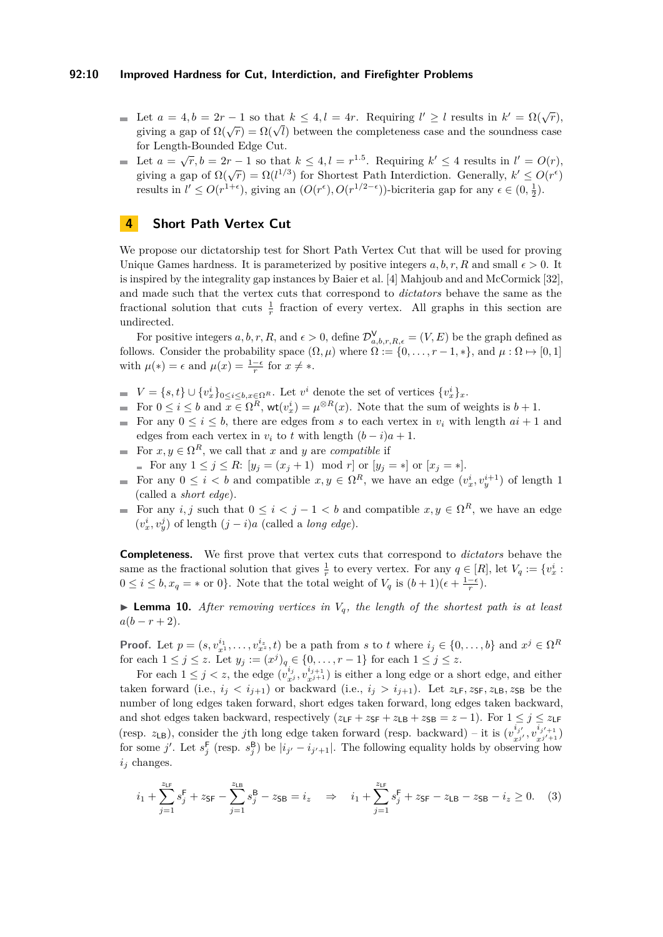#### **92:10 Improved Hardness for Cut, Interdiction, and Firefighter Problems**

- Let  $a = 4, b = 2r 1$  so that  $k \leq 4, l = 4r$ . Requiring  $l' \geq l$  results in  $k' = \Omega(\sqrt{r})$ , Let  $a = 4, o = 2r - 1$  so that  $\kappa \le 4, i = 4r$ . Requiring  $i \ge i$  results in  $\kappa = \kappa(\sqrt{r})$  giving a gap of  $\Omega(\sqrt{r}) = \Omega(\sqrt{l})$  between the completeness case and the soundness case for Length-Bounded Edge Cut.
- Let  $a = \sqrt{r}, b = 2r 1$  so that  $k \leq 4, l = r^{1.5}$ . Requiring  $k' \leq 4$  results in  $l' = O(r)$ , giving a gap of  $\Omega(\sqrt{r}) = \Omega(l^{1/3})$  for Shortest Path Interdiction. Generally,  $k' \leq O(r^{\epsilon})$ results in  $l' \leq O(r^{1+\epsilon})$ , giving an  $(O(r^{\epsilon}), O(r^{1/2-\epsilon}))$ -bicriteria gap for any  $\epsilon \in (0, \frac{1}{2})$ .

## <span id="page-9-0"></span>**4 Short Path Vertex Cut**

We propose our dictatorship test for Short Path Vertex Cut that will be used for proving Unique Games hardness. It is parameterized by positive integers  $a, b, r, R$  and small  $\epsilon > 0$ . It is inspired by the integrality gap instances by Baier et al. [\[4\]](#page-11-0) Mahjoub and and McCormick [\[32\]](#page-13-7), and made such that the vertex cuts that correspond to *dictators* behave the same as the fractional solution that cuts  $\frac{1}{r}$  fraction of every vertex. All graphs in this section are undirected.

For positive integers  $a, b, r, R$ , and  $\epsilon > 0$ , define  $\mathcal{D}^{\vee}_{a,b,r,R,\epsilon} = (V, E)$  be the graph defined as follows. Consider the probability space  $(\Omega, \mu)$  where  $\Omega := \{0, \ldots, r-1, *\},$  and  $\mu : \Omega \mapsto [0,1]$ with  $\mu(*) = \epsilon$  and  $\mu(x) = \frac{1-\epsilon}{r}$  for  $x \neq *$ .

- $V = \{s, t\} \cup \{v_x^i\}_{0 \le i \le b, x \in \Omega^R}$ . Let  $v^i$  denote the set of vertices  $\{v_x^i\}_x$ .
- For  $0 \le i \le b$  and  $x \in \Omega^R$ ,  $\text{wt}(v_x^i) = \mu^{\otimes R}(x)$ . Note that the sum of weights is  $b + 1$ .
- For any  $0 \leq i \leq b$ , there are edges from s to each vertex in  $v_i$  with length  $ai + 1$  and edges from each vertex in  $v_i$  to  $t$  with length  $(b - i)a + 1$ .
- For  $x, y \in \Omega^R$ , we call that *x* and *y* are *compatible* if  $\mathcal{L}_{\mathcal{A}}$ ■ For any  $1 \le j \le R$ :  $[y_j = (x_j + 1) \mod r]$  or  $[y_j = *]$  or  $[x_j = *]$ .
- For any  $0 \leq i < b$  and compatible  $x, y \in \Omega^R$ , we have an edge  $(v_x^i, v_y^{i+1})$  of length 1 (called a *short edge*).
- For any *i, j* such that  $0 \leq i < j 1 < b$  and compatible  $x, y \in \Omega^R$ , we have an edge  $(v_x^i, v_y^j)$  of length  $(j - i)a$  (called a *long edge*).

**Completeness.** We first prove that vertex cuts that correspond to *dictators* behave the same as the fractional solution that gives  $\frac{1}{r}$  to every vertex. For any  $q \in [R]$ , let  $V_q := \{v_x^i :$  $0 \leq i \leq b, x_q = *$  or 0}. Note that the total weight of  $V_q$  is  $(b+1)(\epsilon + \frac{1-\epsilon}{r})$ .

**I Lemma 10.** After removing vertices in  $V_q$ , the length of the shortest path is at least  $a(b - r + 2)$ .

**Proof.** Let  $p = (s, v_{x^1}^{i_1}, \ldots, v_{x^z}^{i_z}, t)$  be a path from s to t where  $i_j \in \{0, \ldots, b\}$  and  $x^j \in \Omega^R$ for each  $1 \le j \le z$ . Let  $y_j := (x^j)_q \in \{0, ..., r-1\}$  for each  $1 \le j \le z$ .

For each  $1 \leq j \leq z$ , the edge  $(v_x^{i_j})$  $x_j^{i_j}, v_{x^{j+1}}^{i_{j+1}}$  ) is either a long edge or a short edge, and either taken forward (i.e.,  $i_j < i_{j+1}$ ) or backward (i.e.,  $i_j > i_{j+1}$ ). Let  $z_{\text{LF}}, z_{\text{SF}}, z_{\text{LB}}, z_{\text{SB}}$  be the number of long edges taken forward, short edges taken forward, long edges taken backward, and shot edges taken backward, respectively  $(z_{LF} + z_{SF} + z_{LB} + z_{SB} = z - 1)$ . For  $1 \le j \le z_{LF}$ (resp.  $z_{LB}$ ), consider the *j*th long edge taken forward (resp. backward) – it is  $(v_{zi}^{i_j})$  $\int_{x^{j'}}^{i_{j'}}$ ,  $v^{i_{j'+1}}_{x^{j'+1}}$  $\binom{t_j'+1}{x^{j'}+1}$ for some *j'*. Let  $s_j^{\text{F}}$  (resp.  $s_j^{\text{B}}$ ) be  $|i_{j'}-i_{j'+1}|$ . The following equality holds by observing how  $i_j$  changes.

<span id="page-9-1"></span>
$$
i_1 + \sum_{j=1}^{z_{\text{LF}}} s_j^{\text{F}} + z_{\text{SF}} - \sum_{j=1}^{z_{\text{LB}}} s_j^{\text{B}} - z_{\text{SB}} = i_z \quad \Rightarrow \quad i_1 + \sum_{j=1}^{z_{\text{LF}}} s_j^{\text{F}} + z_{\text{SF}} - z_{\text{LB}} - z_{\text{SB}} - i_z \ge 0. \tag{3}
$$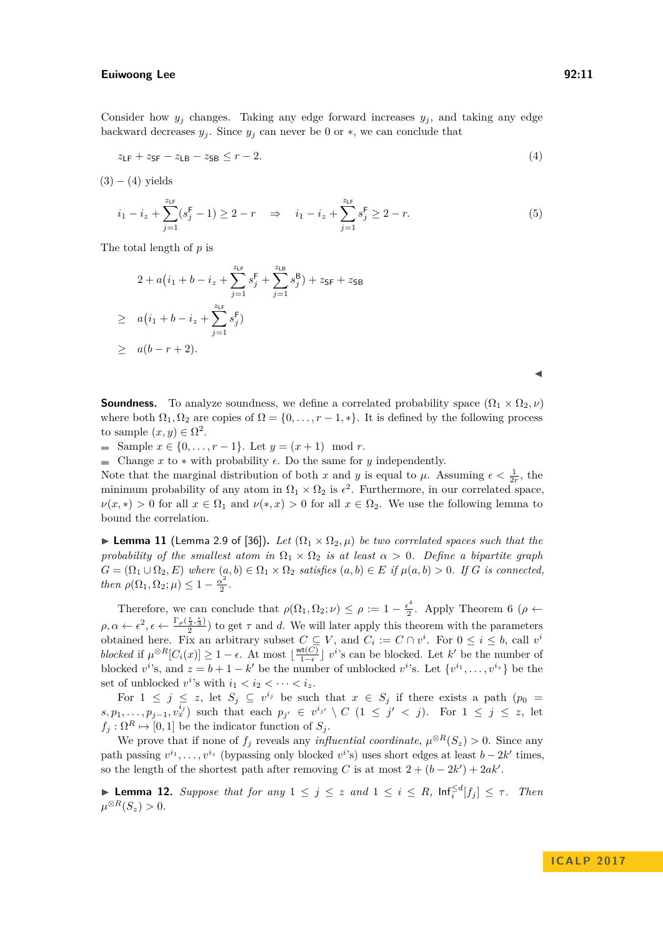Consider how  $y_j$  changes. Taking any edge forward increases  $y_j$ , and taking any edge backward decreases  $y_j$ . Since  $y_j$  can never be 0 or  $*$ , we can conclude that

$$
z_{\text{LF}} + z_{\text{SF}} - z_{\text{LB}} - z_{\text{SB}} \le r - 2. \tag{4}
$$

 $(3) - (4)$  $(3) - (4)$  $(3) - (4)$  yields

$$
i_1 - i_z + \sum_{j=1}^{z_{\text{LF}}} (s_j^{\text{F}} - 1) \ge 2 - r \quad \Rightarrow \quad i_1 - i_z + \sum_{j=1}^{z_{\text{LF}}} s_j^{\text{F}} \ge 2 - r. \tag{5}
$$

The total length of *p* is

$$
2 + a(i_1 + b - i_z + \sum_{j=1}^{z_{\text{LF}}} s_j^{\text{F}} + \sum_{j=1}^{z_{\text{LB}}} s_j^{\text{B}}) + z_{\text{SF}} + z_{\text{SB}}
$$
  
\n
$$
\geq a(i_1 + b - i_z + \sum_{j=1}^{z_{\text{LF}}} s_j^{\text{F}})
$$
  
\n
$$
\geq a(b - r + 2).
$$

<span id="page-10-0"></span> $\blacktriangleleft$ 

**Soundness.** To analyze soundness, we define a correlated probability space  $(\Omega_1 \times \Omega_2, \nu)$ where both  $\Omega_1, \Omega_2$  are copies of  $\Omega = \{0, \ldots, r-1, *\}$ . It is defined by the following process to sample  $(x, y) \in \Omega^2$ .

Sample  $x \in \{0, ..., r-1\}$ . Let  $y = (x+1) \mod r$ .

 $\blacksquare$  Change *x* to  $*$  with probability  $\epsilon$ . Do the same for *y* independently.

Note that the marginal distribution of both *x* and *y* is equal to  $\mu$ . Assuming  $\epsilon < \frac{1}{2r}$ , the minimum probability of any atom in  $\Omega_1 \times \Omega_2$  is  $\epsilon^2$ . Furthermore, in our correlated space,  $\nu(x,*) > 0$  for all  $x \in \Omega_1$  and  $\nu(*,x) > 0$  for all  $x \in \Omega_2$ . We use the following lemma to bound the correlation.

**► Lemma 11** (Lemma 2.9 of [\[36\]](#page-13-15)). Let  $(\Omega_1 \times \Omega_2, \mu)$  be two correlated spaces such that the *probability of the smallest atom in*  $\Omega_1 \times \Omega_2$  *is at least*  $\alpha > 0$ *. Define a bipartite graph*  $G = (\Omega_1 \cup \Omega_2, E)$  *where*  $(a, b) \in \Omega_1 \times \Omega_2$  *satisfies*  $(a, b) \in E$  *if*  $\mu(a, b) > 0$ *. If G is connected, then*  $\rho(\Omega_1, \Omega_2; \mu) \leq 1 - \frac{\alpha^2}{2}$  $\frac{x^2}{2}$ .

Therefore, we can conclude that  $\rho(\Omega_1, \Omega_2; \nu) \leq \rho := 1 - \frac{\epsilon^4}{2}$  $\frac{\epsilon^2}{2}$ . Apply Theorem [6](#page-6-0) ( $\rho \leftarrow$  $\rho, \alpha \leftarrow \epsilon^2, \epsilon \leftarrow \frac{\Gamma_\rho(\frac{\epsilon}{3}, \frac{\epsilon}{3})}{2}$  to get  $\tau$  and *d*. We will later apply this theorem with the parameters obtained here. Fix an arbitrary subset  $C \subseteq V$ , and  $C_i := C \cap v^i$ . For  $0 \le i \le b$ , call  $v^i$ *blocked* if  $\mu^{\otimes R}[C_i(x)] \geq 1 - \epsilon$ . At most  $\lfloor \frac{\text{wt}(C)}{1 - \epsilon} \rfloor$  $\frac{\partial \mathbf{t}(C)}{\partial \mathbf{t}}$  *v*<sup>*i*</sup>'s can be blocked. Let *k*<sup>'</sup> be the number of blocked  $v^{i}$ 's, and  $z = b + 1 - k'$  be the number of unblocked  $v^{i}$ 's. Let  $\{v^{i_1}, \ldots, v^{i_z}\}$  be the set of unblocked  $v^i$ 's with  $i_1 < i_2 < \cdots < i_z$ .

For  $1 \leq j \leq z$ , let  $S_j \subseteq v^{i_j}$  be such that  $x \in S_j$  if there exists a path  $(p_0 =$  $s, p_1, \ldots, p_{j-1}, v_x^{i_j}$  such that each  $p_{j'} \in v^{i_{j'}} \setminus C$  (1 ≤  $j' < j$ ). For  $1 \leq j \leq z$ , let  $f_j : \Omega^R \mapsto [0,1]$  be the indicator function of  $S_j$ .

We prove that if none of  $f_j$  reveals any *influential coordinate*,  $\mu^{\otimes R}(S_z) > 0$ . Since any path passing  $v^{i_1}, \ldots, v^{i_z}$  (bypassing only blocked  $v^{i}$ 's) uses short edges at least  $b - 2k'$  times, so the length of the shortest path after removing *C* is at most  $2 + (b - 2k') + 2ak'$ .

▶ **Lemma 12.** Suppose that for any  $1 \leq j \leq z$  and  $1 \leq i \leq R$ ,  $\text{Inf}_{i}^{\leq d}[f_j] \leq \tau$ . Then  $\mu^{\otimes R}(S_z) > 0.$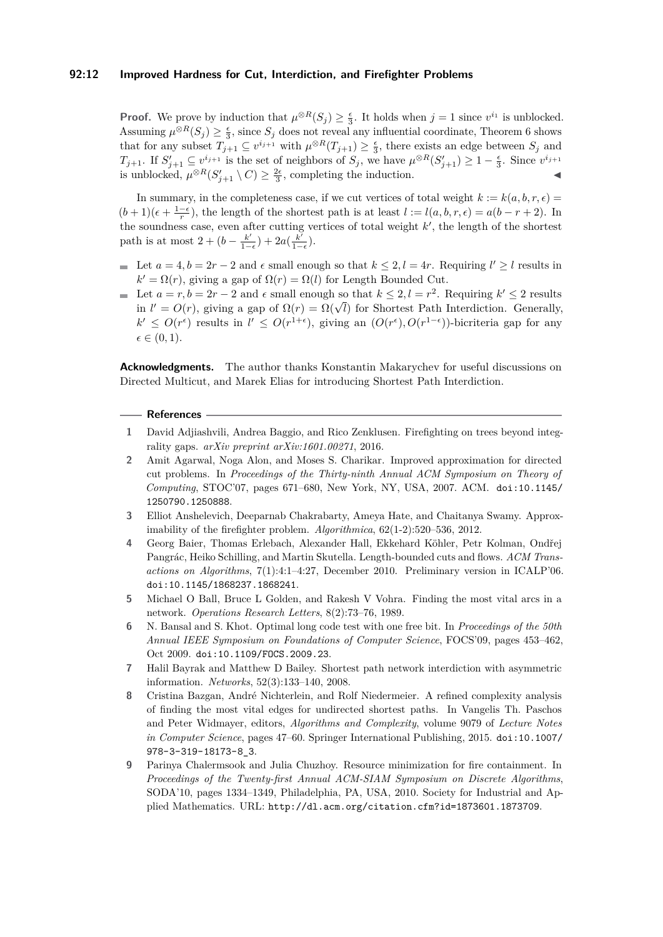#### **92:12 Improved Hardness for Cut, Interdiction, and Firefighter Problems**

**Proof.** We prove by induction that  $\mu^{\otimes R}(S_j) \geq \frac{\epsilon}{3}$ . It holds when  $j = 1$  since  $v^{i_1}$  is unblocked. Assuming  $\mu^{\otimes R}(S_j) \geq \frac{\epsilon}{3}$ , since  $S_j$  does not reveal any influential coordinate, Theorem [6](#page-6-0) shows that for any subset  $T_{j+1} \subseteq v^{i_{j+1}}$  with  $\mu^{\otimes R}(T_{j+1}) \geq \frac{\epsilon}{3}$ , there exists an edge between  $S_j$  and *T*<sub>*j*+1</sub>. If  $S'_{j+1} \subseteq v^{i_{j+1}}$  is the set of neighbors of  $S_j$ , we have  $\mu^{\otimes R}(S'_{j+1}) \geq 1 - \frac{\epsilon}{3}$ . Since  $v^{i_{j+1}}$ is unblocked,  $\mu^{\otimes R}(S'_{j+1} \setminus C) \geq \frac{2\epsilon}{3}$ , completing the induction.

In summary, in the completeness case, if we cut vertices of total weight  $k := k(a, b, r, \epsilon)$  $(b+1)(\epsilon + \frac{1-\epsilon}{r})$ , the length of the shortest path is at least  $l := l(a, b, r, \epsilon) = a(b-r+2)$ . In the soundness case, even after cutting vertices of total weight  $k'$ , the length of the shortest path is at most  $2 + (b - \frac{k^2}{1 - a})$  $\frac{k'}{1-\epsilon}$ ) + 2*a*( $\frac{k'}{1-\epsilon}$  $\frac{k}{1-\epsilon}$ ).

- Let  $a = 4, b = 2r 2$  and  $\epsilon$  small enough so that  $k \leq 2, l = 4r$ . Requiring  $l' \geq l$  results in  $k' = \Omega(r)$ , giving a gap of  $\Omega(r) = \Omega(l)$  for Length Bounded Cut.
- Let  $a = r, b = 2r 2$  and  $\epsilon$  small enough so that  $k \leq 2, l = r^2$ . Requiring  $k' \leq 2$  results Let  $a = r, b = 2r - 2$  and  $\epsilon$  small enough so that  $\kappa \leq 2$ ,  $\iota = r$ . Requiring  $\kappa \leq 2$  results in  $l' = O(r)$ , giving a gap of  $\Omega(r) = \Omega(\sqrt{l})$  for Shortest Path Interdiction. Generally,  $k'$  ≤  $O(r^{\epsilon})$  results in  $l'$  ≤  $O(r^{1+\epsilon})$ , giving an  $(O(r^{\epsilon}), O(r^{1-\epsilon}))$ -bicriteria gap for any  $\epsilon \in (0, 1)$ .

**Acknowledgments.** The author thanks Konstantin Makarychev for useful discussions on Directed Multicut, and Marek Elias for introducing Shortest Path Interdiction.

#### **References**

- <span id="page-11-8"></span>**1** David Adjiashvili, Andrea Baggio, and Rico Zenklusen. Firefighting on trees beyond integrality gaps. *arXiv preprint arXiv:1601.00271*, 2016.
- <span id="page-11-7"></span>**2** Amit Agarwal, Noga Alon, and Moses S. Charikar. Improved approximation for directed cut problems. In *Proceedings of the Thirty-ninth Annual ACM Symposium on Theory of Computing*, STOC'07, pages 671–680, New York, NY, USA, 2007. ACM. [doi:10.1145/](http://dx.doi.org/10.1145/1250790.1250888) [1250790.1250888](http://dx.doi.org/10.1145/1250790.1250888).
- <span id="page-11-2"></span>**3** Elliot Anshelevich, Deeparnab Chakrabarty, Ameya Hate, and Chaitanya Swamy. Approximability of the firefighter problem. *Algorithmica*, 62(1-2):520–536, 2012.
- <span id="page-11-0"></span>**4** Georg Baier, Thomas Erlebach, Alexander Hall, Ekkehard Köhler, Petr Kolman, Ondřej Pangrác, Heiko Schilling, and Martin Skutella. Length-bounded cuts and flows. *ACM Transactions on Algorithms*, 7(1):4:1–4:27, December 2010. Preliminary version in ICALP'06. [doi:10.1145/1868237.1868241](http://dx.doi.org/10.1145/1868237.1868241).
- <span id="page-11-5"></span>**5** Michael O Ball, Bruce L Golden, and Rakesh V Vohra. Finding the most vital arcs in a network. *Operations Research Letters*, 8(2):73–76, 1989.
- <span id="page-11-1"></span>**6** N. Bansal and S. Khot. Optimal long code test with one free bit. In *Proceedings of the 50th Annual IEEE Symposium on Foundations of Computer Science*, FOCS'09, pages 453–462, Oct 2009. [doi:10.1109/FOCS.2009.23](http://dx.doi.org/10.1109/FOCS.2009.23).
- <span id="page-11-6"></span>**7** Halil Bayrak and Matthew D Bailey. Shortest path network interdiction with asymmetric information. *Networks*, 52(3):133–140, 2008.
- <span id="page-11-4"></span>**8** Cristina Bazgan, André Nichterlein, and Rolf Niedermeier. A refined complexity analysis of finding the most vital edges for undirected shortest paths. In Vangelis Th. Paschos and Peter Widmayer, editors, *Algorithms and Complexity*, volume 9079 of *Lecture Notes in Computer Science*, pages 47–60. Springer International Publishing, 2015. [doi:10.1007/](http://dx.doi.org/10.1007/978-3-319-18173-8_3) [978-3-319-18173-8\\_3](http://dx.doi.org/10.1007/978-3-319-18173-8_3).
- <span id="page-11-3"></span>**9** Parinya Chalermsook and Julia Chuzhoy. Resource minimization for fire containment. In *Proceedings of the Twenty-first Annual ACM-SIAM Symposium on Discrete Algorithms*, SODA'10, pages 1334–1349, Philadelphia, PA, USA, 2010. Society for Industrial and Applied Mathematics. URL: <http://dl.acm.org/citation.cfm?id=1873601.1873709>.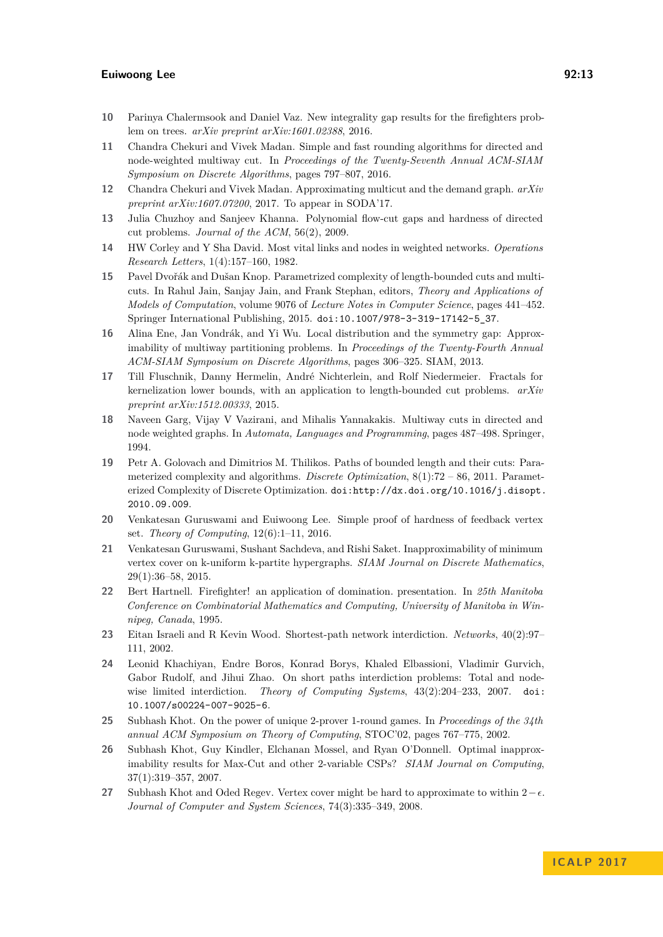- <span id="page-12-15"></span>**10** Parinya Chalermsook and Daniel Vaz. New integrality gap results for the firefighters problem on trees. *arXiv preprint arXiv:1601.02388*, 2016.
- <span id="page-12-10"></span>**11** Chandra Chekuri and Vivek Madan. Simple and fast rounding algorithms for directed and node-weighted multiway cut. In *Proceedings of the Twenty-Seventh Annual ACM-SIAM Symposium on Discrete Algorithms*, pages 797–807, 2016.
- <span id="page-12-14"></span>**12** Chandra Chekuri and Vivek Madan. Approximating multicut and the demand graph. *arXiv preprint arXiv:1607.07200*, 2017. To appear in SODA'17.
- <span id="page-12-13"></span>**13** Julia Chuzhoy and Sanjeev Khanna. Polynomial flow-cut gaps and hardness of directed cut problems. *Journal of the ACM*, 56(2), 2009.
- <span id="page-12-8"></span>**14** HW Corley and Y Sha David. Most vital links and nodes in weighted networks. *Operations Research Letters*, 1(4):157–160, 1982.
- <span id="page-12-6"></span>**15** Pavel Dvořák and Dušan Knop. Parametrized complexity of length-bounded cuts and multicuts. In Rahul Jain, Sanjay Jain, and Frank Stephan, editors, *Theory and Applications of Models of Computation*, volume 9076 of *Lecture Notes in Computer Science*, pages 441–452. Springer International Publishing, 2015. [doi:10.1007/978-3-319-17142-5\\_37](http://dx.doi.org/10.1007/978-3-319-17142-5_37).
- <span id="page-12-3"></span>**16** Alina Ene, Jan Vondrák, and Yi Wu. Local distribution and the symmetry gap: Approximability of multiway partitioning problems. In *Proceedings of the Twenty-Fourth Annual ACM-SIAM Symposium on Discrete Algorithms*, pages 306–325. SIAM, 2013.
- <span id="page-12-7"></span>**17** Till Fluschnik, Danny Hermelin, André Nichterlein, and Rolf Niedermeier. Fractals for kernelization lower bounds, with an application to length-bounded cut problems. *arXiv preprint arXiv:1512.00333*, 2015.
- <span id="page-12-11"></span>**18** Naveen Garg, Vijay V Vazirani, and Mihalis Yannakakis. Multiway cuts in directed and node weighted graphs. In *Automata, Languages and Programming*, pages 487–498. Springer, 1994.
- <span id="page-12-5"></span>**19** Petr A. Golovach and Dimitrios M. Thilikos. Paths of bounded length and their cuts: Parameterized complexity and algorithms. *Discrete Optimization*, 8(1):72 – 86, 2011. Parameterized Complexity of Discrete Optimization. [doi:http://dx.doi.org/10.1016/j.disopt.](http://dx.doi.org/http://dx.doi.org/10.1016/j.disopt.2010.09.009) [2010.09.009](http://dx.doi.org/http://dx.doi.org/10.1016/j.disopt.2010.09.009).
- <span id="page-12-17"></span>**20** Venkatesan Guruswami and Euiwoong Lee. Simple proof of hardness of feedback vertex set. *Theory of Computing*, 12(6):1–11, 2016.
- <span id="page-12-4"></span>**21** Venkatesan Guruswami, Sushant Sachdeva, and Rishi Saket. Inapproximability of minimum vertex cover on k-uniform k-partite hypergraphs. *SIAM Journal on Discrete Mathematics*, 29(1):36–58, 2015.
- <span id="page-12-16"></span>**22** Bert Hartnell. Firefighter! an application of domination. presentation. In *25th Manitoba Conference on Combinatorial Mathematics and Computing, University of Manitoba in Winnipeg, Canada*, 1995.
- <span id="page-12-9"></span>**23** Eitan Israeli and R Kevin Wood. Shortest-path network interdiction. *Networks*, 40(2):97– 111, 2002.
- <span id="page-12-0"></span>**24** Leonid Khachiyan, Endre Boros, Konrad Borys, Khaled Elbassioni, Vladimir Gurvich, Gabor Rudolf, and Jihui Zhao. On short paths interdiction problems: Total and nodewise limited interdiction. *Theory of Computing Systems*, 43(2):204–233, 2007. [doi:](http://dx.doi.org/10.1007/s00224-007-9025-6) [10.1007/s00224-007-9025-6](http://dx.doi.org/10.1007/s00224-007-9025-6).
- <span id="page-12-1"></span>**25** Subhash Khot. On the power of unique 2-prover 1-round games. In *Proceedings of the 34th annual ACM Symposium on Theory of Computing*, STOC'02, pages 767–775, 2002.
- <span id="page-12-2"></span>**26** Subhash Khot, Guy Kindler, Elchanan Mossel, and Ryan O'Donnell. Optimal inapproximability results for Max-Cut and other 2-variable CSPs? *SIAM Journal on Computing*, 37(1):319–357, 2007.
- <span id="page-12-12"></span>27 Subhash Khot and Oded Regev. Vertex cover might be hard to approximate to within  $2-\epsilon$ . *Journal of Computer and System Sciences*, 74(3):335–349, 2008.